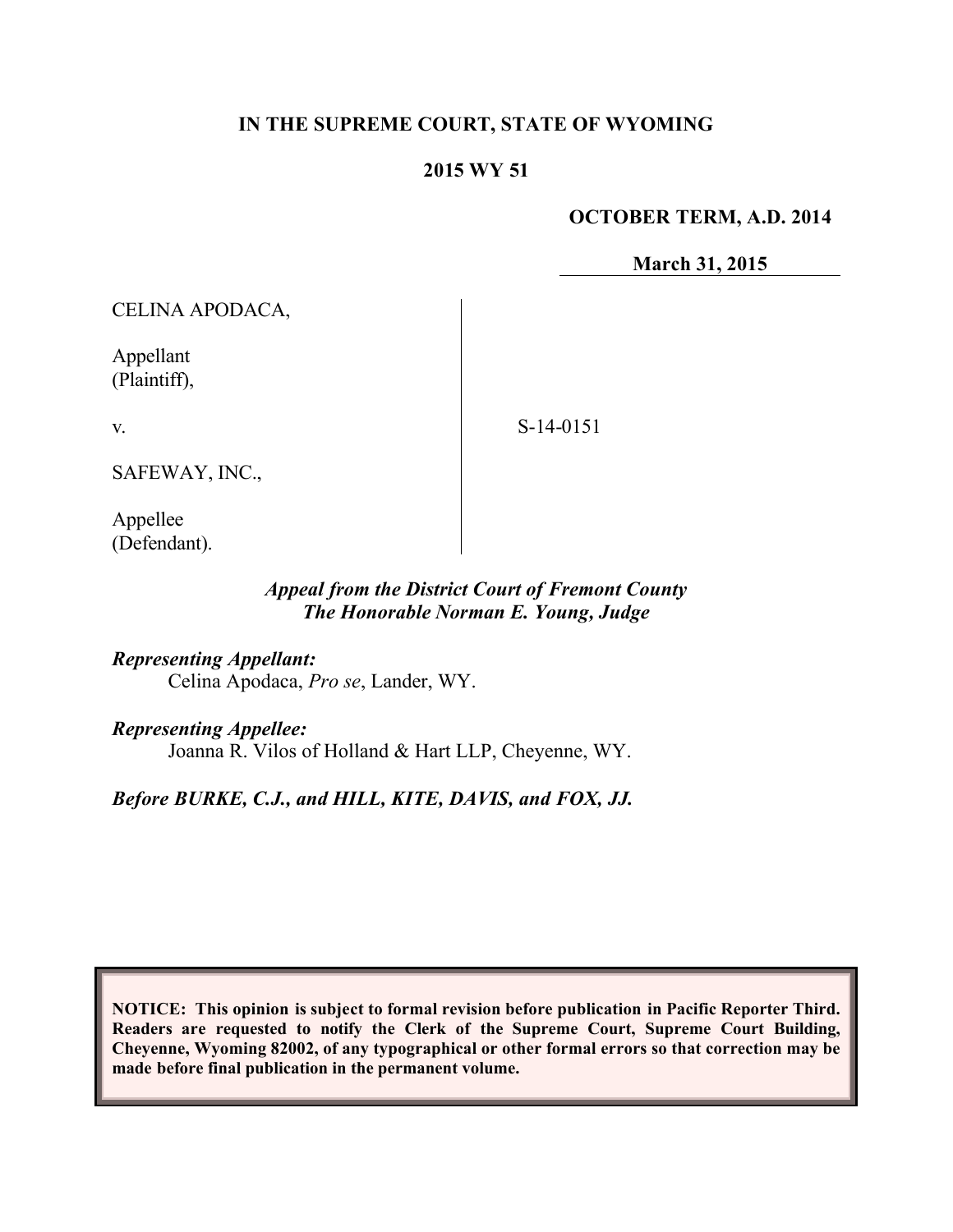#### **IN THE SUPREME COURT, STATE OF WYOMING**

#### **2015 WY 51**

#### **OCTOBER TERM, A.D. 2014**

**March 31, 2015**

CELINA APODACA,

Appellant (Plaintiff),

v.

S-14-0151

SAFEWAY, INC.,

Appellee (Defendant).

#### *Appeal from the District Court of Fremont County The Honorable Norman E. Young, Judge*

*Representing Appellant:* Celina Apodaca, *Pro se*, Lander, WY.

*Representing Appellee:*

Joanna R. Vilos of Holland & Hart LLP, Cheyenne, WY.

*Before BURKE, C.J., and HILL, KITE, DAVIS, and FOX, JJ.*

**NOTICE: This opinion is subject to formal revision before publication in Pacific Reporter Third. Readers are requested to notify the Clerk of the Supreme Court, Supreme Court Building, Cheyenne, Wyoming 82002, of any typographical or other formal errors so that correction may be made before final publication in the permanent volume.**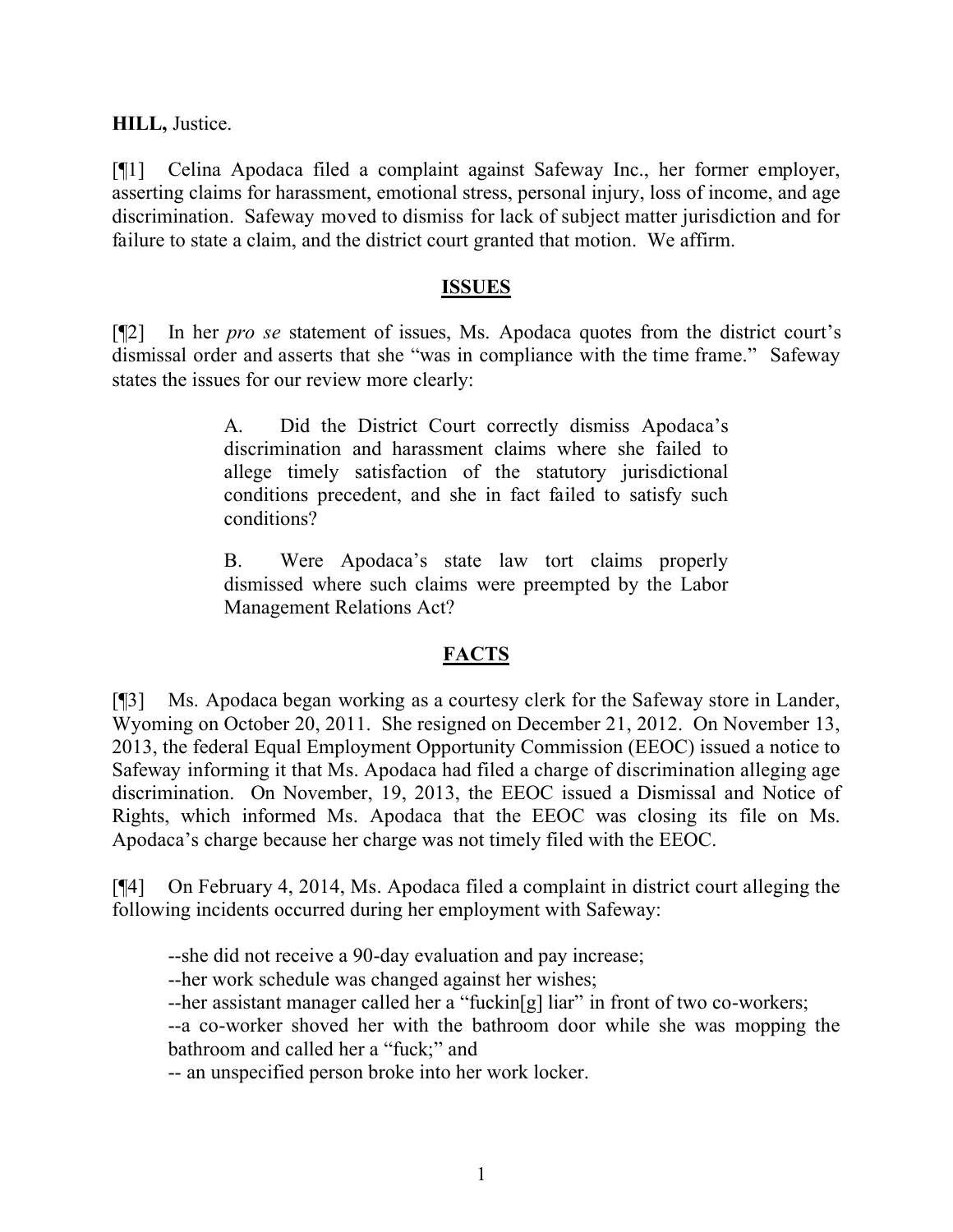**HILL,** Justice.

[¶1] Celina Apodaca filed a complaint against Safeway Inc., her former employer, asserting claims for harassment, emotional stress, personal injury, loss of income, and age discrimination. Safeway moved to dismiss for lack of subject matter jurisdiction and for failure to state a claim, and the district court granted that motion. We affirm.

#### **ISSUES**

[¶2] In her *pro se* statement of issues, Ms. Apodaca quotes from the district court's dismissal order and asserts that she "was in compliance with the time frame." Safeway states the issues for our review more clearly:

> A. Did the District Court correctly dismiss Apodaca's discrimination and harassment claims where she failed to allege timely satisfaction of the statutory jurisdictional conditions precedent, and she in fact failed to satisfy such conditions?

> B. Were Apodaca's state law tort claims properly dismissed where such claims were preempted by the Labor Management Relations Act?

# **FACTS**

[¶3] Ms. Apodaca began working as a courtesy clerk for the Safeway store in Lander, Wyoming on October 20, 2011. She resigned on December 21, 2012. On November 13, 2013, the federal Equal Employment Opportunity Commission (EEOC) issued a notice to Safeway informing it that Ms. Apodaca had filed a charge of discrimination alleging age discrimination. On November, 19, 2013, the EEOC issued a Dismissal and Notice of Rights, which informed Ms. Apodaca that the EEOC was closing its file on Ms. Apodaca's charge because her charge was not timely filed with the EEOC.

[¶4] On February 4, 2014, Ms. Apodaca filed a complaint in district court alleging the following incidents occurred during her employment with Safeway:

--she did not receive a 90-day evaluation and pay increase;

--her work schedule was changed against her wishes;

--her assistant manager called her a "fuckin[g] liar" in front of two co-workers;

--a co-worker shoved her with the bathroom door while she was mopping the bathroom and called her a "fuck;" and

-- an unspecified person broke into her work locker.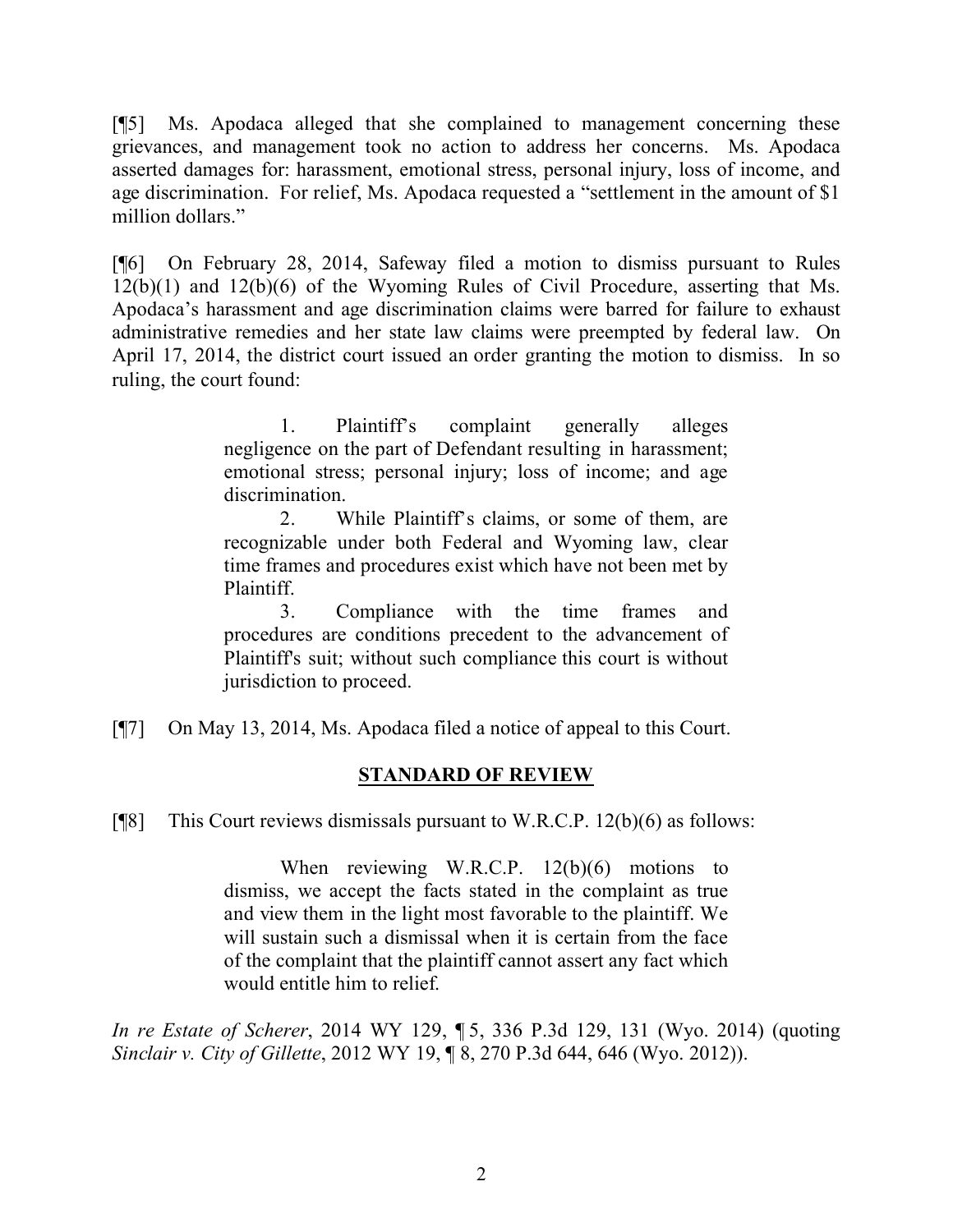[¶5] Ms. Apodaca alleged that she complained to management concerning these grievances, and management took no action to address her concerns. Ms. Apodaca asserted damages for: harassment, emotional stress, personal injury, loss of income, and age discrimination. For relief, Ms. Apodaca requested a "settlement in the amount of \$1 million dollars."

[¶6] On February 28, 2014, Safeway filed a motion to dismiss pursuant to Rules 12(b)(1) and 12(b)(6) of the Wyoming Rules of Civil Procedure, asserting that Ms. Apodaca's harassment and age discrimination claims were barred for failure to exhaust administrative remedies and her state law claims were preempted by federal law. On April 17, 2014, the district court issued an order granting the motion to dismiss. In so ruling, the court found:

> 1. Plaintiff's complaint generally alleges negligence on the part of Defendant resulting in harassment; emotional stress; personal injury; loss of income; and age discrimination.

> 2. While Plaintiff's claims, or some of them, are recognizable under both Federal and Wyoming law, clear time frames and procedures exist which have not been met by Plaintiff.

> 3. Compliance with the time frames and procedures are conditions precedent to the advancement of Plaintiff's suit; without such compliance this court is without jurisdiction to proceed.

[¶7] On May 13, 2014, Ms. Apodaca filed a notice of appeal to this Court.

### **STANDARD OF REVIEW**

[ $[$ [8] This Court reviews dismissals pursuant to W.R.C.P. 12(b)(6) as follows:

When reviewing W.R.C.P. 12(b)(6) motions to dismiss, we accept the facts stated in the complaint as true and view them in the light most favorable to the plaintiff. We will sustain such a dismissal when it is certain from the face of the complaint that the plaintiff cannot assert any fact which would entitle him to relief.

*In re Estate of Scherer*, 2014 WY 129, ¶ 5, 336 P.3d 129, 131 (Wyo. 2014) (quoting *Sinclair v. City of Gillette*, 2012 WY 19, ¶ 8, 270 P.3d 644, 646 (Wyo. 2012)).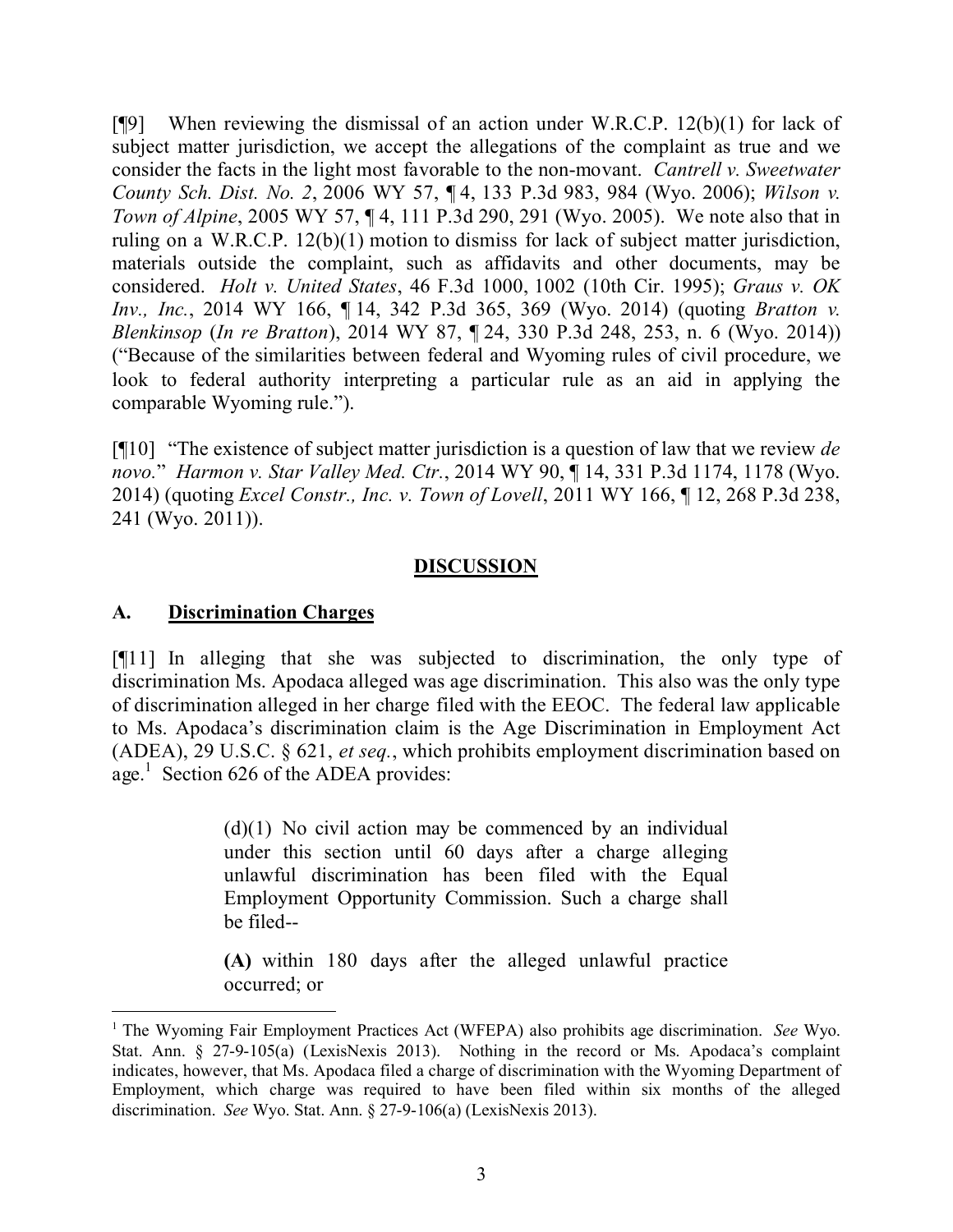[¶9] When reviewing the dismissal of an action under W.R.C.P. 12(b)(1) for lack of subject matter jurisdiction, we accept the allegations of the complaint as true and we consider the facts in the light most favorable to the non-movant. *Cantrell v. Sweetwater County Sch. Dist. No. 2*, 2006 WY 57, ¶ 4, 133 P.3d 983, 984 (Wyo. 2006); *Wilson v. Town of Alpine*, 2005 WY 57, ¶ 4, 111 P.3d 290, 291 (Wyo. 2005). We note also that in ruling on a W.R.C.P. 12(b)(1) motion to dismiss for lack of subject matter jurisdiction, materials outside the complaint, such as affidavits and other documents, may be considered. *Holt v. United States*, 46 F.3d 1000, 1002 (10th Cir. 1995); *Graus v. OK Inv., Inc.*, 2014 WY 166, ¶ 14, 342 P.3d 365, 369 (Wyo. 2014) (quoting *Bratton v. Blenkinsop* (*In re Bratton*), 2014 WY 87, ¶ 24, 330 P.3d 248, 253, n. 6 (Wyo. 2014)) ("Because of the similarities between federal and Wyoming rules of civil procedure, we look to federal authority interpreting a particular rule as an aid in applying the comparable Wyoming rule.").

[¶10] "The existence of subject matter jurisdiction is a question of law that we review *de novo.*" *Harmon v. Star Valley Med. Ctr.*, 2014 WY 90, ¶ 14, 331 P.3d 1174, 1178 (Wyo. 2014) (quoting *Excel Constr., Inc. v. Town of Lovell*, 2011 WY 166, ¶ 12, 268 P.3d 238, 241 (Wyo. 2011)).

# **DISCUSSION**

# **A. Discrimination Charges**

[¶11] In alleging that she was subjected to discrimination, the only type of discrimination Ms. Apodaca alleged was age discrimination. This also was the only type of discrimination alleged in her charge filed with the EEOC. The federal law applicable to Ms. Apodaca's discrimination claim is the Age Discrimination in Employment Act (ADEA), 29 U.S.C. § 621, *et seq.*, which prohibits employment discrimination based on age.<sup>1</sup> Section 626 of the ADEA provides:

> $(d)(1)$  No civil action may be commenced by an individual under this section until 60 days after a charge alleging unlawful discrimination has been filed with the Equal Employment Opportunity Commission. Such a charge shall be filed--

> **(A)** within 180 days after the alleged unlawful practice occurred; or

<sup>&</sup>lt;sup>1</sup> The Wyoming Fair Employment Practices Act (WFEPA) also prohibits age discrimination. *See* Wyo. Stat. Ann. § 27-9-105(a) (LexisNexis 2013). Nothing in the record or Ms. Apodaca's complaint indicates, however, that Ms. Apodaca filed a charge of discrimination with the Wyoming Department of Employment, which charge was required to have been filed within six months of the alleged discrimination. *See* Wyo. Stat. Ann. § 27-9-106(a) (LexisNexis 2013).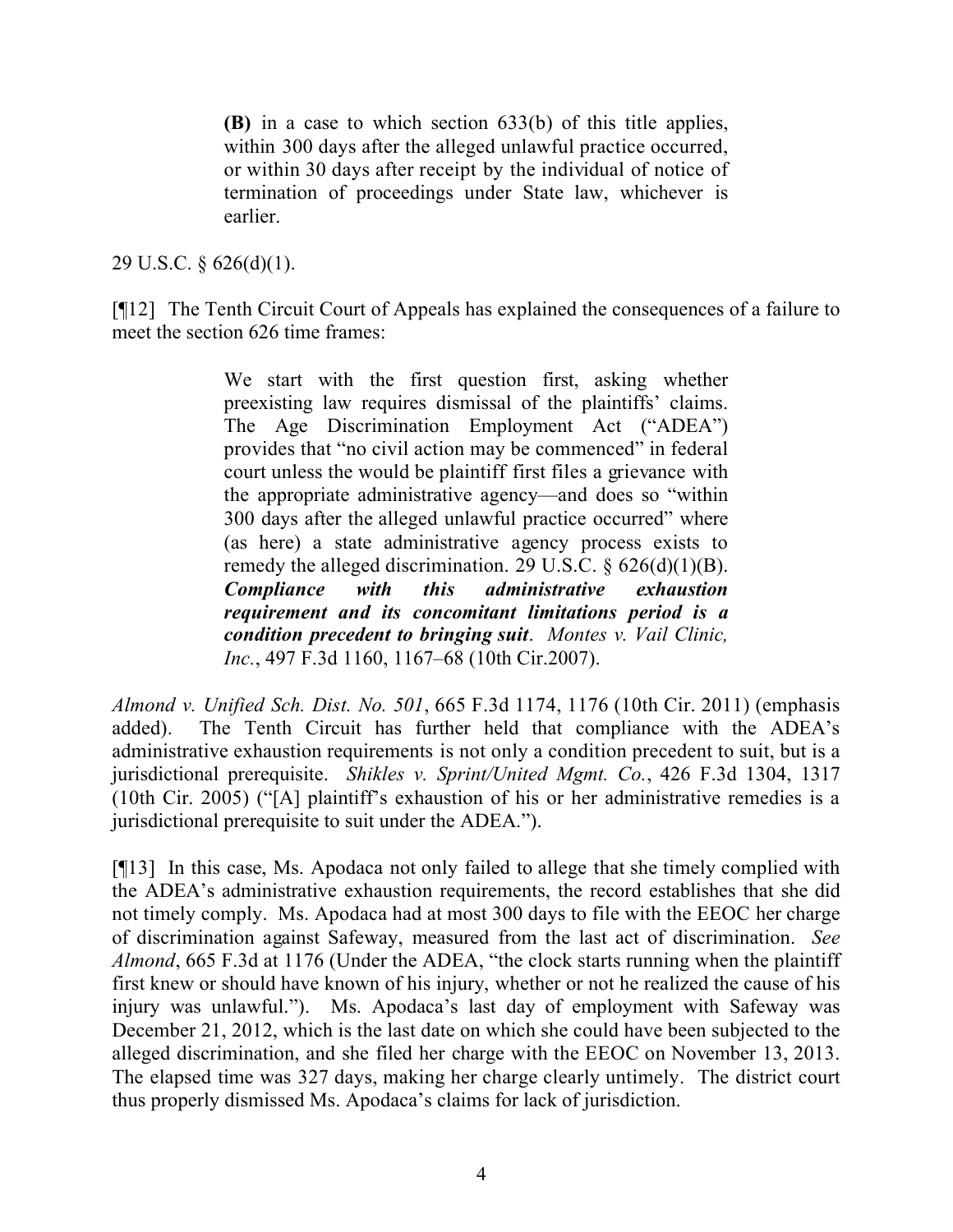**(B)** in a case to which section 633(b) of this title applies, within 300 days after the alleged unlawful practice occurred, or within 30 days after receipt by the individual of notice of termination of proceedings under State law, whichever is earlier.

# 29 U.S.C. § 626(d)(1).

[¶12] The Tenth Circuit Court of Appeals has explained the consequences of a failure to meet the section 626 time frames:

> We start with the first question first, asking whether preexisting law requires dismissal of the plaintiffs' claims. The Age Discrimination Employment Act ("ADEA") provides that "no civil action may be commenced" in federal court unless the would be plaintiff first files a grievance with the appropriate administrative agency—and does so "within 300 days after the alleged unlawful practice occurred" where (as here) a state administrative agency process exists to remedy the alleged discrimination. 29 U.S.C.  $\frac{626(d)(1)(B)}{B}$ . *Compliance with this administrative exhaustion requirement and its concomitant limitations period is a condition precedent to bringing suit*. *Montes v. Vail Clinic, Inc.*, 497 F.3d 1160, 1167–68 (10th Cir.2007).

*Almond v. Unified Sch. Dist. No. 501*, 665 F.3d 1174, 1176 (10th Cir. 2011) (emphasis added). The Tenth Circuit has further held that compliance with the ADEA's administrative exhaustion requirements is not only a condition precedent to suit, but is a jurisdictional prerequisite. *Shikles v. Sprint/United Mgmt. Co.*, 426 F.3d 1304, 1317 (10th Cir. 2005) ("[A] plaintiff's exhaustion of his or her administrative remedies is a jurisdictional prerequisite to suit under the ADEA.").

[¶13] In this case, Ms. Apodaca not only failed to allege that she timely complied with the ADEA's administrative exhaustion requirements, the record establishes that she did not timely comply. Ms. Apodaca had at most 300 days to file with the EEOC her charge of discrimination against Safeway, measured from the last act of discrimination. *See Almond*, 665 F.3d at 1176 (Under the ADEA, "the clock starts running when the plaintiff first knew or should have known of his injury, whether or not he realized the cause of his injury was unlawful."). Ms. Apodaca's last day of employment with Safeway was December 21, 2012, which is the last date on which she could have been subjected to the alleged discrimination, and she filed her charge with the EEOC on November 13, 2013. The elapsed time was 327 days, making her charge clearly untimely. The district court thus properly dismissed Ms. Apodaca's claims for lack of jurisdiction.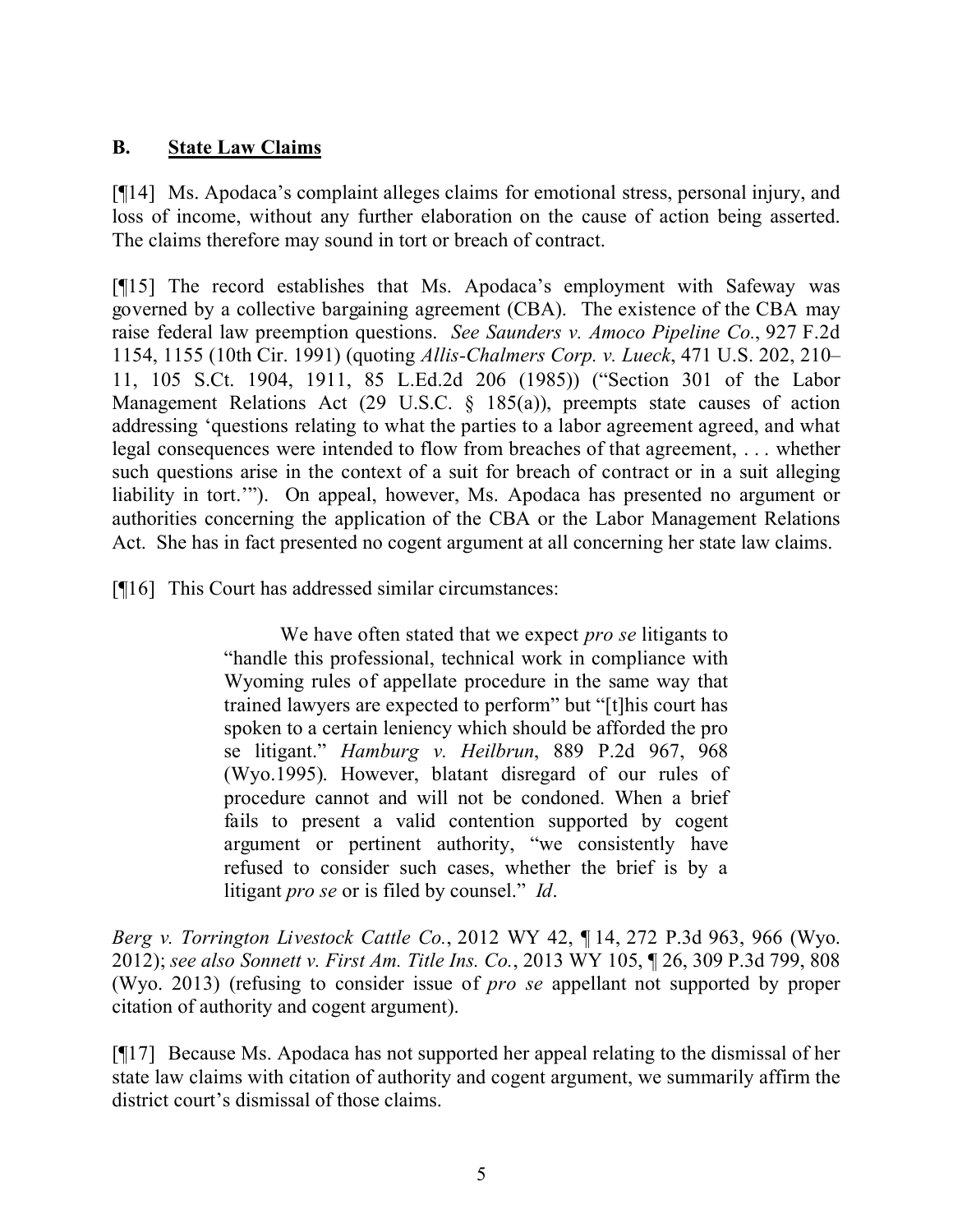# **B. State Law Claims**

[¶14] Ms. Apodaca's complaint alleges claims for emotional stress, personal injury, and loss of income, without any further elaboration on the cause of action being asserted. The claims therefore may sound in tort or breach of contract.

[¶15] The record establishes that Ms. Apodaca's employment with Safeway was governed by a collective bargaining agreement (CBA). The existence of the CBA may raise federal law preemption questions. *See Saunders v. Amoco Pipeline Co.*, 927 F.2d 1154, 1155 (10th Cir. 1991) (quoting *Allis-Chalmers Corp. v. Lueck*, 471 U.S. 202, 210– 11, 105 S.Ct. 1904, 1911, 85 L.Ed.2d 206 (1985)) ("Section 301 of the Labor Management Relations Act (29 U.S.C. § 185(a)), preempts state causes of action addressing 'questions relating to what the parties to a labor agreement agreed, and what legal consequences were intended to flow from breaches of that agreement, . . . whether such questions arise in the context of a suit for breach of contract or in a suit alleging liability in tort.'"). On appeal, however, Ms. Apodaca has presented no argument or authorities concerning the application of the CBA or the Labor Management Relations Act. She has in fact presented no cogent argument at all concerning her state law claims.

[¶16] This Court has addressed similar circumstances:

We have often stated that we expect *pro se* litigants to "handle this professional, technical work in compliance with Wyoming rules of appellate procedure in the same way that trained lawyers are expected to perform" but "[t]his court has spoken to a certain leniency which should be afforded the pro se litigant." *Hamburg v. Heilbrun*, 889 P.2d 967, 968 (Wyo.1995). However, blatant disregard of our rules of procedure cannot and will not be condoned. When a brief fails to present a valid contention supported by cogent argument or pertinent authority, "we consistently have refused to consider such cases, whether the brief is by a litigant *pro se* or is filed by counsel." *Id*.

*Berg v. Torrington Livestock Cattle Co.*, 2012 WY 42, ¶ 14, 272 P.3d 963, 966 (Wyo. 2012); *see also Sonnett v. First Am. Title Ins. Co.*, 2013 WY 105, ¶ 26, 309 P.3d 799, 808 (Wyo. 2013) (refusing to consider issue of *pro se* appellant not supported by proper citation of authority and cogent argument).

[¶17] Because Ms. Apodaca has not supported her appeal relating to the dismissal of her state law claims with citation of authority and cogent argument, we summarily affirm the district court's dismissal of those claims.